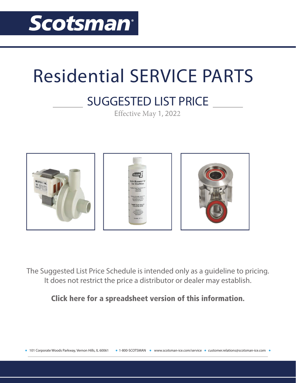

## Residential SERVICE PARTS

## **SUGGESTED LIST PRICE**

Effective May 1, 2022



The Suggested List Price Schedule is intended only as a guideline to pricing. It does not restrict the price a distributor or dealer may establish.

[Click here for a spreadsheet version of this information.](https://www.scotsman-ice.com/service/Miscellaneous/May%201%202022%20Residential%20Parts%20Prices.xlsx)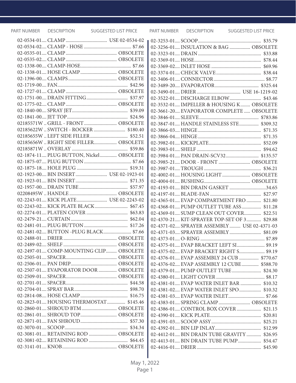|                                         | 02-3256-01 INSULATION & BAG  OBSOLETE       |  |
|-----------------------------------------|---------------------------------------------|--|
|                                         |                                             |  |
|                                         |                                             |  |
|                                         |                                             |  |
| 02-1338-01 HOSE CLAMP OBSOLETE          |                                             |  |
|                                         |                                             |  |
|                                         |                                             |  |
|                                         |                                             |  |
|                                         |                                             |  |
|                                         | 02-3532-01 IMPELLER & HOUSING K OBSOLETE    |  |
|                                         | 02-3661-20 EVAPORATOR COMPLETE  OBSOLETE    |  |
|                                         |                                             |  |
| 02185571W  GRILL - FRONT  OBSOLETE      | 02-3847-01 HANDLE STAINLESS STE \$309.32    |  |
| 02185622W  SWITCH - ROCKER  \$180.40    |                                             |  |
|                                         |                                             |  |
| 02185656W  RIGHT SIDE FILLER OBSOLETE   |                                             |  |
|                                         |                                             |  |
| 02-1874-11 PLUG BUTTON, Nickel OBSOLETE |                                             |  |
|                                         | 02-3985-21 DOOR - FRONT  OBSOLETE           |  |
|                                         |                                             |  |
| 02-1923-00 BIN INSERT  USE 02-1923-01   | 02-4002-01 HOUSING LIGHT  OBSOLETE          |  |
|                                         |                                             |  |
|                                         | 02-4193-01 BIN DRAIN GASKET 34.65           |  |
|                                         |                                             |  |
|                                         | 02-4365-01 EVAP COMPARTMENT FRO  \$21.80    |  |
| 02-2243-02 KICK PLATE BLACK \$67.45     | 02-4368-01 PUMP OUTLET TUBE ASS \$11.28     |  |
|                                         | 02-4369-01 SUMP CLEAN OUT COVER \$22.51     |  |
|                                         | 02-4370-21 KIT-SPRAYER TOP-SET OF 3 \$29.88 |  |
|                                         | 02-4371-02 SPRAYER ASSEMBLY  USE 02-4371-03 |  |
| 02-2481-02 BUTTON -PLUG BLACK \$7.66    |                                             |  |
|                                         |                                             |  |
|                                         | 02-4375-01 EVAP BRACKET LEFT SI \$9.19      |  |
| 02-2497-01 COMP-MOUNTING CLIP OBSOLETE  | 02-4375-02 EVAP BRACKET RIGHT S \$9.19      |  |
|                                         | 02-4376-01 EVAP ASSEMBLY 24 CUB  \$770.67   |  |
|                                         | 02-4376-02 EVAP ASSEMBLY 12 CUBE \$588.70   |  |
| 02-2507-01 EVAPORATOR DOOR  OBSOLETE    |                                             |  |
|                                         |                                             |  |
|                                         | 02-4381-01 EVAP WATER INLET BAR  \$10.32    |  |
|                                         | 02-4381-02 EVAP WATER INLET SPO \$10.32     |  |
|                                         | 02-4381-03 EVAP WATER INLET \$7.66          |  |
| 02-2823-01 HOUSING THERMOSTAT \$145.46  | 02-4383-01 SPRING CLAMP OBSOLETE            |  |
| 02-2860-01 SHROUD BTM  OBSOLETE         |                                             |  |
| 02-2861-01 SHROUD TOP OBSOLETE          |                                             |  |
|                                         |                                             |  |
|                                         |                                             |  |
| 02-3081-01 RETAINING ROD  OBSOLETE      | 02-4412-01 BIN DRAIN TUBE GRAVITY  \$26.95  |  |
|                                         | 02-4413-01 BIN DRAIN TUBE PUMP \$54.47      |  |
|                                         |                                             |  |

L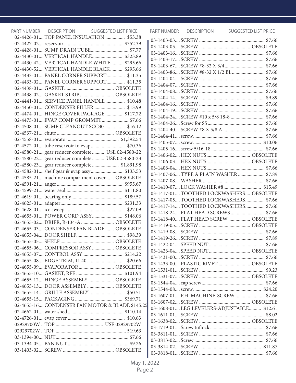| PART NUMBER DESCRIPTION                          | <b>SUGGESTED LIST PRICE</b> |
|--------------------------------------------------|-----------------------------|
| 02-4426-01 TOP PANEL INSULATION  \$53.38         |                             |
|                                                  |                             |
| 02-4428-01 SUMP DRAIN TUBE \$7.77                |                             |
|                                                  |                             |
| 02-4430-42 VERTICAL HANDLE WHITE  \$295.66       |                             |
| 02-4430-52 VERTICAL HANDLE BLACK \$295.66        |                             |
| 02-4433-01 PANEL CORNER SUPPORT \$11.35          |                             |
| 02-4433-02 PANEL CORNER SUPPORT \$11.35          |                             |
|                                                  |                             |
| 02-4438-02 GASKET STRIP  OBSOLETE                |                             |
| 02-4441-01 SERVICE PANEL HANDLE \$10.48          |                             |
| 02-4450-01 CONDENSER FILLER  \$13.99             |                             |
| 02-4474-01 HINGE COVER PACKAGE  \$117.72         |                             |
| 02-4475-01 EVAP COMP GROMMET \$7.66              |                             |
| 02-4508-01 SUMP CLEANOUT SCC30 \$16.12           |                             |
|                                                  |                             |
|                                                  |                             |
|                                                  |                             |
| 02-4580-21 gear reducer complete USE 02-4580-22  |                             |
| 02-4580-22 gear reducer complete  USE 02-4580-23 |                             |
| 02-4580-23 gear reducer complete \$1,891.98      |                             |
| 02-4582-01 shelf gear & evap assy \$133.53       |                             |
| 02-4585-21 machine compartment cover  OBSOLETE   |                             |
|                                                  |                             |
|                                                  |                             |
|                                                  |                             |
|                                                  |                             |
|                                                  |                             |
|                                                  |                             |
|                                                  |                             |
| 02-4655-02 DRIER, R-134-A OBSOLETE               |                             |
| 02-4655-03 CONDENSER FAN BLADE  OBSOLETE         |                             |
|                                                  |                             |
|                                                  |                             |
| 02-4655-06 COMPRESSOR ASSY  OBSOLETE             |                             |
|                                                  |                             |
|                                                  |                             |
| 02-4655-09 EVAPORATOR OBSOLETE                   |                             |
|                                                  |                             |
| 02-4655-12 HINGE ASSEMBLY  OBSOLETE              |                             |
| 02-4655-13 DOOR ASSEMBLY  OBSOLETE               |                             |
|                                                  |                             |
|                                                  |                             |
| 02-4655-16 CONDENSER FAN MOTOR & BLADE \$145.25  |                             |
|                                                  |                             |
|                                                  |                             |
|                                                  |                             |
|                                                  |                             |
|                                                  |                             |
|                                                  |                             |
|                                                  |                             |
|                                                  |                             |

PART NUMBER DESCRIPTION SUGGESTED LIST PRICE

| 03-1403-86 SCREW #8-32 X 1/2 BL \$7.66     |  |
|--------------------------------------------|--|
|                                            |  |
|                                            |  |
|                                            |  |
|                                            |  |
|                                            |  |
|                                            |  |
| 03-1404-24 SCREW #10 x 5/8 18-8  \$7.66    |  |
|                                            |  |
|                                            |  |
|                                            |  |
|                                            |  |
|                                            |  |
|                                            |  |
|                                            |  |
|                                            |  |
|                                            |  |
| 03-1407-06 TYPE A PLAIN WASHER  \$7.89     |  |
|                                            |  |
|                                            |  |
| 03-1417-01TOOTHED LOCKWASHERS OBSOLETE     |  |
| 03-1417-05 TOOTHED LOCKWASHERS \$7.66      |  |
| 03-1417-14 TOOTHED LOCKWASHERS \$7.66      |  |
| 03-1418-24 FLAT HEAD SCREWS \$7.66         |  |
| 03-1418-40 FLAT HEAD SCREW  OBSOLETE       |  |
|                                            |  |
|                                            |  |
|                                            |  |
|                                            |  |
|                                            |  |
|                                            |  |
| 03-1433-00 PLASTIC RIVET  OBSOLETE         |  |
|                                            |  |
|                                            |  |
|                                            |  |
|                                            |  |
| 03-1607-01 F.H. MACHINE-SCREW  \$7.66      |  |
|                                            |  |
|                                            |  |
| 03-1608-01 LEG LEVELERS-ADJUSTABLE \$12.61 |  |
|                                            |  |
|                                            |  |
|                                            |  |
|                                            |  |
|                                            |  |
|                                            |  |
|                                            |  |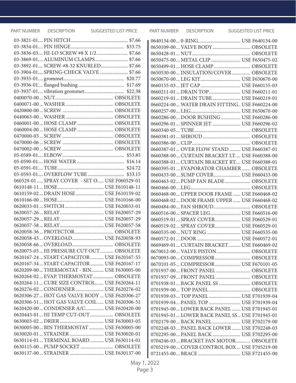|                                                | 0650109-00 VALVE BODY OBSOLETE                  |  |
|------------------------------------------------|-------------------------------------------------|--|
| 03-3836-03 HI-LO SCREW #8 X 1/2 \$7.66         |                                                 |  |
| 03-3869-01 ALUMINUM CLAMPS \$7.66              | 0650475-00 METAL CLIP  USE F650475-02           |  |
| 03-3892-01 SCREW-#8-32 KNURLED \$7.66          | 0650499-01 HOSE CLAMP OBSOLETE                  |  |
| 03-3904-01 SPRING-CHECK VALVE  \$7.66          | 0650530-00 INSULATION/COVER  OBSOLETE           |  |
|                                                |                                                 |  |
|                                                |                                                 |  |
|                                                | 0660211-01 DRAIN TOP USE F660211-01             |  |
|                                                | 0660219-01 DRAIN TUBE USE F660219-01            |  |
|                                                | 0660224-00 WATER DRAIN FITTING USE F660224-00   |  |
|                                                |                                                 |  |
|                                                | 0660286-00 DOOR BUSHING USE F660286-00          |  |
| 0460001-00 HOSE CLAMP OBSOLETE                 | 0660296-01  SPINNER JET  USE F660296-02         |  |
| 0460004-00 HOSE CLAMP OBSOLETE                 |                                                 |  |
|                                                |                                                 |  |
|                                                |                                                 |  |
|                                                | 0660387-01  OVER FLOW STAND  USE F660387-01     |  |
|                                                | 0660388-00 CURTAIN BRACKET LT.  USE F660388-00  |  |
|                                                | 0660388-01 CURTAIN BRACKET RT USE F660388-01    |  |
|                                                | 0660395-01 EVAPORATOR CHAMBER OBSOLETE          |  |
|                                                | 0660433-00 SUMP COVER USE F660433-00            |  |
| 060529-01  SPRAY COVER - SET O  USE F060529-01 | 0660463-02 PUMP FAN BLADE OBSOLETE              |  |
|                                                |                                                 |  |
| 0610159-02 DRAIN HOSE USE F610159-02           | 0660468-00 UPPER DOOR FRAME  USE F660468-02     |  |
|                                                | 0660468-02 DOOR FRAME UPPER  USE F660468-02     |  |
|                                                | 0660484-00 FAN SHROUD OBSOLETE                  |  |
|                                                | 0660516-00 SPACER LEG USE F660516-00            |  |
|                                                | 0660519-01 SPRAY COVER USE F060529-01           |  |
|                                                | 0660519-02 SPRAY COVER USE F060529-01           |  |
|                                                | 0660535-00 NUT RING USE F660535-00              |  |
| 0620058-43 OVERLOAD USE F620058-93             |                                                 |  |
|                                                | 0669469-01  CURTAIN BRACKET  USE F660469-02     |  |
| 0620075-03 HI PRESSURE CUT OUT OBSOLETE        | 0670012-00 VALVE PISTON OBSOLETE                |  |
| 0620167-24 START CAPACITOR  USE F620167-55     | 0670093-00 COMPRESSOR OBSOLETE                  |  |
| 0620167-34 START CAPACITOR  USE F620167-17     | 0670101-05 COMPRESSOR USE F670101-05            |  |
| 0620209-00 THERMOSTAT - BIN USE F630005-00     | 0701937-00 FRONT PANEL  OBSOLETE                |  |
| 0620264-02 EVAP. THERMOSTAT OBSOLETE           | 0701937-09  FRONT PANEL  OBSOLETE               |  |
| 0620264-11 CUBE SIZE CONTROL USE F620264-11    | 0701938-01 BACK PANEL SS OBSOLETE               |  |
| 0620276-02 CONDENSER USE F620276-02            |                                                 |  |
| 0620306-27  HOT GAS VALVE BODY  USE F620306-27 | 0701939-03 TOP PANEL USE F701939-04             |  |
| 0620306-51 HOT GAS VALVE COIL USE F620306-51   | 0701939-04 PANEL TOP  USE F701939-04            |  |
| 0620420-00 CONDENSER A/C USE F620420-00        | 0701945-00 LOWER BACK PANEL  USE F701945-01     |  |
| 0620443-01 HI TEMP CUT-OUT OBSOLETE            | 0701945-01  LOWER BACK PANEL SS  USE F701945-01 |  |
|                                                | 0702179-00 BACK PANEL  USE F702179-00           |  |
| 0630005-00 BIN THERMOSTAT  USE F630005-00      | 0702248-03 PANEL BACK LOWER  USE F702248-03     |  |
| 0630020-01 STRAINER USE F630020-01             | 0702295-00 PANEL BACK  USE F702295-00           |  |
| 0630114-01 TERMINAL BOARD  USE F630114-01      | 0704246-03 BRACKET FAN MOTOR OBSOLETE           |  |
| 0630115-00 PUMP SOCKET  OBSOLETE               | 0705219-00 COVER CONTROL BOX USE F705219-00     |  |
| 0630137-00 STRAINER  USE F630137-00            |                                                 |  |

| 0650109-00 VALVE BODY OBSOLETE                  |  |
|-------------------------------------------------|--|
|                                                 |  |
| 0650475-00 METAL CLIP  USE F650475-02           |  |
| 0650499-01 HOSE CLAMP OBSOLETE                  |  |
| 0650530-00 INSULATION/COVER OBSOLETE            |  |
|                                                 |  |
|                                                 |  |
| 0660211-01 DRAIN TOP USE F660211-01             |  |
| 0660219-01 DRAIN TUBE USE F660219-01            |  |
| 0660224-00 WATER DRAIN FITTING USE F660224-00   |  |
|                                                 |  |
| 0660286-00 DOOR BUSHING USE F660286-00          |  |
| 0660296-01  SPINNER JET  USE F660296-02         |  |
|                                                 |  |
|                                                 |  |
|                                                 |  |
| 0660387-01  OVER FLOW STAND  USE F660387-01     |  |
| 0660388-00 CURTAIN BRACKET LT.  USE F660388-00  |  |
| 0660388-01 CURTAIN BRACKET RT USE F660388-01    |  |
| 0660395-01 EVAPORATOR CHAMBER OBSOLETE          |  |
| 0660433-00 SUMP COVER USE F660433-00            |  |
| 0660463-02 PUMP FAN BLADE OBSOLETE              |  |
|                                                 |  |
| 0660468-00 UPPER DOOR FRAME  USE F660468-02     |  |
| 0660468-02 DOOR FRAME UPPER  USE F660468-02     |  |
| 0660484-00 FAN SHROUD OBSOLETE                  |  |
| 0660516-00 SPACER LEG USE F660516-00            |  |
| 0660519-01 SPRAY COVER USE F060529-01           |  |
| 0660519-02 SPRAY COVER USE F060529-01           |  |
| 0660535-00 NUT RING USE F660535-00              |  |
|                                                 |  |
| 0669469-01 CURTAIN BRACKET USE F660469-02       |  |
| 0670012-00 VALVE PISTON OBSOLETE                |  |
| 0670093-00 COMPRESSOR OBSOLETE                  |  |
| 0670101-05 COMPRESSOR USE F670101-05            |  |
| 0701937-00 FRONT PANEL  OBSOLETE                |  |
| 0701937-09 FRONT PANEL  OBSOLETE                |  |
| 0701938-01 BACK PANEL SS OBSOLETE               |  |
|                                                 |  |
| 0701939-03 TOP PANEL USE F701939-04             |  |
| 0701939-04 PANEL TOP  USE F701939-04            |  |
| 0701945-00  LOWER BACK PANEL  USE F701945-01    |  |
| 0701945-01  LOWER BACK PANEL SS  USE F701945-01 |  |
| 0702179-00 BACK PANEL  USE F702179-00           |  |
| 0702248-03  PANEL BACK LOWER  USE F702248-03    |  |
| 0702295-00 PANEL BACK  USE F702295-00           |  |
| 0704246-03 BRACKET FAN MOTOR OBSOLETE           |  |
| 0705219-00 COVER CONTROL BOX  USE F705219-00    |  |
|                                                 |  |
|                                                 |  |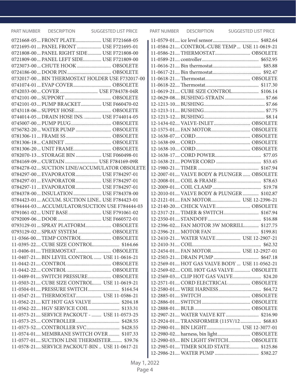| <b>PART NUMBER</b> | DESCRIPTION | <b>SUGGESTED LIST PRICE</b>                                                             | PART NUMBER | DESCRIPTION | SUGGESTED LIST PRICE                                                           |
|--------------------|-------------|-----------------------------------------------------------------------------------------|-------------|-------------|--------------------------------------------------------------------------------|
|                    |             | 0721668-05 FRONT PLATE USE F721668-05                                                   |             |             |                                                                                |
|                    |             | 0721695-01  PANEL FRONT  USE F721695-01                                                 |             |             | 11-0584-21 CONTROL-CUBE TEMP  USE 11-0619-21                                   |
|                    |             | 0721808-00 PANEL RIGHT SIDE USE F721808-00                                              |             |             | 11-0586-21 THERMOSTAT OBSOLETE                                                 |
|                    |             | 0721809-00  PANEL LEFT SIDE USE F721809-00                                              |             |             |                                                                                |
|                    |             | 0723073-00 CHUTE HOOK  OBSOLETE                                                         |             |             |                                                                                |
|                    |             |                                                                                         |             |             |                                                                                |
|                    |             | 0732017-00 BIN THERMOSTAT HOLDER USE F732017-00                                         |             |             |                                                                                |
|                    |             |                                                                                         |             |             |                                                                                |
|                    |             |                                                                                         |             |             | 11-0619-21 CUBE SIZE CONTROL \$106.14                                          |
|                    |             |                                                                                         |             |             |                                                                                |
|                    |             | 0742101-03 PUMP BRACKET USE F660470-02                                                  |             |             |                                                                                |
|                    |             | 0743118-06 SUPPLY HOSE OBSOLETE                                                         |             |             |                                                                                |
|                    |             | 0744014-05 DRAIN HOSE INS.  USE F744014-05                                              |             |             |                                                                                |
|                    |             |                                                                                         |             |             | 12-1434-02 VALVE-INLET OBSOLETE                                                |
|                    |             | 0756782-20 WATER PUMP OBSOLETE                                                          |             |             |                                                                                |
|                    |             |                                                                                         |             |             |                                                                                |
|                    |             |                                                                                         |             |             |                                                                                |
|                    |             | 0781306-20  UNIT FRAME OBSOLETE                                                         |             |             |                                                                                |
|                    |             | 0782070-13 STORAGE BIN  USE F060498-01                                                  |             |             |                                                                                |
|                    |             | 0784169-09 CURTAIN USE F784169-09R                                                      |             |             |                                                                                |
|                    |             | 0784278-02 SUCTION LINE/ACCUMULATOR OBSOLETE                                            |             |             |                                                                                |
|                    |             | 0784297-00 EVAPORATOR USE F784297-01                                                    |             |             | 12-2007-01 VALVE BODY & PLUNGER  OBSOLETE                                      |
|                    |             | 0784297-01  EVAPORATOR  USE F784297-01                                                  |             |             |                                                                                |
|                    |             | 0784297-11 EVAPORATOR USE F784297-01                                                    |             |             |                                                                                |
|                    |             | 0784378-00 INSULATION  USE F784378-00                                                   |             |             | 12-2010-01 VALVE BODY & PLUNGER  \$102.87                                      |
|                    |             | 0784423-01  ACCUM. SUCTION LINE USE F784423-01                                          |             |             | 12-2121-01 FAN MOTOR USE 12-2396-21                                            |
|                    |             | 0784444-03 ACCUMULATOR/SUCTION USE F784444-03                                           |             |             | 12-2140-20 CHECK VALVE OBSOLETE                                                |
|                    |             | 0791061-02 UNIT BASE USE F791061-02                                                     |             |             |                                                                                |
|                    |             |                                                                                         |             |             |                                                                                |
|                    |             | 0793129-01  SPRAY PLATFORM  OBSOLETE                                                    |             |             | 12-2396-02 FAN MOTOR 3W MORRILL \$127.75                                       |
|                    |             | 0793129-02 SPRAY SYSTEM  OBSOLETE                                                       |             |             |                                                                                |
|                    |             | 11-0366-00 TEMP CONTROL OBSOLETE                                                        |             |             | 12-2410-21 WATER VALVE  USE 12-2907-21                                         |
|                    |             | 11-0395-22 CUBE SIZE CONTROL \$164.66                                                   |             |             |                                                                                |
|                    |             | 11-0406-01 THERMOSTAT OBSOLETE                                                          |             |             |                                                                                |
|                    |             | 11-0407-21 BIN LEVEL CONTROL  USE 11-0616-21                                            |             |             |                                                                                |
|                    |             |                                                                                         |             |             | 12-2569-01 HOT GAS VALVE BODY  USE 11-0562-21                                  |
|                    |             |                                                                                         |             |             | 12-2569-02 COIL HOT GAS VALVE  OBSOLETE                                        |
|                    |             | 11-0489-01 SWITCH PRESSURE OBSOLETE                                                     |             |             |                                                                                |
|                    |             | 11-0503-21 CUBE SIZE CONTROL USE 11-0619-21                                             |             |             | 12-2571-01 CORD ELECTRICAL  OBSOLETE                                           |
|                    |             | 11-0547-21 THERMOSTAT USE 11-0586-21                                                    |             |             |                                                                                |
|                    |             | 11-0562-21 KIT HOT GAS VALVE \$204.18                                                   |             |             |                                                                                |
|                    |             |                                                                                         |             |             |                                                                                |
|                    |             | 11-0573-21 SERVICE PACKOUT -  USE 11-0573-25                                            |             |             |                                                                                |
|                    |             |                                                                                         |             |             | 12-2924-01 TRANSFORMER (115V/12 \$68.83                                        |
|                    |             | 11-0573-52 CONTROLLER SVC \$428.55                                                      |             |             |                                                                                |
|                    |             |                                                                                         |             |             |                                                                                |
|                    |             | 11-0574-01 MEMBRANE SWITCH OVER  \$107.33<br>11-0577-01 SUCTION LINE THERMISTER \$39.76 |             |             | 12-2980-02 harness, bin light OBSOLETE<br>12-2980-03 BIN LIGHT SWITCH OBSOLETE |
|                    |             | 11-0578-21 SERVICE PACKOUT-BIN  USE 11-0617-21                                          |             |             | 12-2985-01 TIMER SOLID STATE \$125.86                                          |
|                    |             |                                                                                         |             |             |                                                                                |
|                    |             |                                                                                         |             |             |                                                                                |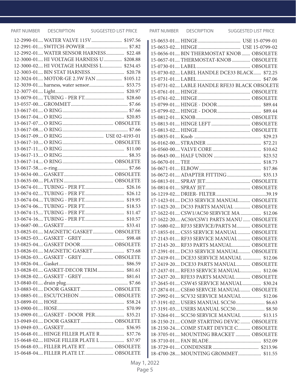| 12-2990-01 WATER VALVE 115V \$197.56     |  |
|------------------------------------------|--|
|                                          |  |
| 12-2992-01 WATER SENSOR HARNESS \$22.48  |  |
| 12-3000-01 HI VOLTAGE HARNESS U \$208.88 |  |
| 12-3000-02 HI VOLTAGE HARNESS L \$234.45 |  |
| 12-3003-01 BIN STAT HARNESS \$20.78      |  |
| 12-3024-01 MOTOR-GE 2.3W FAN  \$105.12   |  |
| 12-3039-01 harness, water sensor \$53.75 |  |
|                                          |  |
|                                          |  |
|                                          |  |
|                                          |  |
|                                          |  |
|                                          |  |
|                                          |  |
|                                          |  |
|                                          |  |
|                                          |  |
|                                          |  |
|                                          |  |
|                                          |  |
|                                          |  |
|                                          |  |
|                                          |  |
|                                          |  |
|                                          |  |
|                                          |  |
|                                          |  |
|                                          |  |
|                                          |  |
|                                          |  |
| 13-0825-01 MAGNETIC GASKET OBSOLETE      |  |
|                                          |  |
| 13-0825-04 GASKET DOOR OBSOLETE          |  |
| 13-0826-01 MAGNETIC GASKET \$73.68       |  |
| 13-0826-03 GASKET - GREY OBSOLETE        |  |
|                                          |  |
|                                          |  |
|                                          |  |
|                                          |  |
| 13-0883-01 DOOR GASKET OBSOLETE          |  |
| 13-0885-01 ESCUTCHEON  OBSOLETE          |  |
|                                          |  |
|                                          |  |
| 13-0909-01 GASKET - DOOR PER \$35.21     |  |
| 13-0949-01 DOOR GASKET OBSOLETE          |  |
|                                          |  |
| 15-0648-01 HINGE FILLER PLATE R \$37.76  |  |
| 15-0648-02 HINGE FILLER PLATE L  \$37.97 |  |
| 15-0648-03 FILLER PLATE RT.  OBSOLETE    |  |
| 15-0648-04 FILLER PLATE LT OBSOLETE      |  |

| 15-0656-01 BIN THERMOSTAT KNOB  OBSOLETE     |  |
|----------------------------------------------|--|
| 15-0657-01THERMOSTAT-KNOB OBSOLETE           |  |
|                                              |  |
| 15-0730-02 LABEL HANDLE DCE33 BLACK \$72.25  |  |
|                                              |  |
| 15-0731-02 LABLE HANDLE RFE33 BLACK OBSOLETE |  |
|                                              |  |
|                                              |  |
|                                              |  |
|                                              |  |
|                                              |  |
| 15-0813-01 HINGE LEFT  OBSOLETE              |  |
|                                              |  |
|                                              |  |
|                                              |  |
|                                              |  |
|                                              |  |
|                                              |  |
|                                              |  |
|                                              |  |
|                                              |  |
|                                              |  |
|                                              |  |
| 17-1423-01 DC33 SERVICE MANUAL OBSOLETE      |  |
| 17-1423-20 DC33 PARTS MANUAL  OBSOLETE       |  |
| 17-1622-01 CSW1/AC50 SERVICE MA \$12.06      |  |
| 17-1622-20 AC50/CSW1 PARTS MANU OBSOLETE     |  |
| 17-1680-02 RF33 SERVICE/PARTS M OBSOLETE     |  |
| 17-1855-01 CS55 SERVICE MANUAL  OBSOLETE     |  |
| 17-2143-01 RF33 SERVICE MANUAL  OBSOLETE     |  |
| 17-2143-20, RF33 PARTS MANUAL OBSOLETE       |  |
| 17-2391-01 DC33 SERVICE MANUAL OBSOLETE      |  |
| 17-2419-01, DCE33 SERVICE MANUAL  \$12.06    |  |
| 17-2419-20, DCE33 PARTS MANUAL OBSOLETE      |  |
| 17-2437-01, RFE33 SERVICE MANUAL \$12.06     |  |
| 17-2437-20 RFE33 PARTS MANUAL  OBSOLETE      |  |
| 17-2645-01 CSW45 SERVICE MANUAL \$30.24      |  |
| 17-2874-01 CSE60 SERVCIE MANUAL OBSOLETE     |  |
| 17-2992-01 SCV32 SERVICE MANUAL \$12.06      |  |
| 17-3191-02 USERS MANUAL SCC50 \$6.63         |  |
| 17-3191-03 USERS MANUAL SCC50 \$8.50         |  |
| 17-3264-01 SCC50 SERVICE MANUAL  \$13.15     |  |
| 18-2150-21 COMP. STARTING DEVIC  OBSOLETE    |  |
| 18-2150-24 COMP. START DEVICE C OBSOLETE     |  |
| 18-3705-01 MOUNTING BRACKET  OBSOLETE        |  |
|                                              |  |
|                                              |  |
| 18-4700-28 MOUNTING GROMMET \$11.55          |  |
|                                              |  |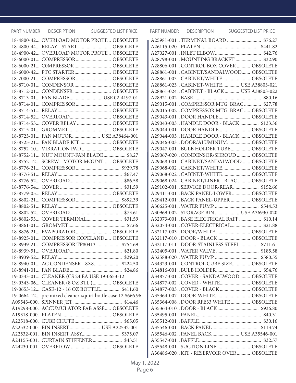| 18-4800-42 OVERLOAD MOTOR PROTE  OBSOLETE                   |
|-------------------------------------------------------------|
| 18-4800-44 RELAY - START  OBSOLETE                          |
| 18-4900-42 OVERLOAD MOTOR PROTE OBSOLETE                    |
| 18-6000-01 COMPRESSOR OBSOLETE                              |
|                                                             |
|                                                             |
| 18-7000-21 COMPRESSOR OBSOLETE                              |
| 18-8710-01 CONDENSOR  OBSOLETE                              |
| 18-8712-01 CONDENSER  OBSOLETE                              |
| 18-8713-01 FAN BLADE USE 02-4197-01                         |
| 18-8714-01 COMPRESSOR OBSOLETE                              |
|                                                             |
|                                                             |
| 18-8714-53 COVER RELAY  OBSOLETE                            |
|                                                             |
| 18-8723-01 FAN MOTOR USE A38464-001                         |
| 18-8725-21 FAN BLADE KIT OBSOLETE                           |
| 18-8752-10 VIBRATION PAD  OBSOLETE                          |
| 18-8752-11 NUT MOUNT-FAN BLADE \$8.27                       |
| 18-8752-12 SCREW - MOTOR MOUNT OBSOLETE                     |
|                                                             |
|                                                             |
|                                                             |
|                                                             |
|                                                             |
|                                                             |
|                                                             |
|                                                             |
|                                                             |
|                                                             |
| 18-8876-21 EVAPORATOR OBSOLETE                              |
| 18-8925-01 COMPRESSOR COPELAND OBSOLETE                     |
| 18-8939-21 COMPRESSOR TP80413 \$754.69                      |
|                                                             |
|                                                             |
| 18-8940-01 AC CONDENSER - 8X8 \$224.50                      |
|                                                             |
| 19-0343-01 CLEANER (CS 24 EA USE 19-0653-12                 |
| 19-0343-06 CLEANER (8 OZ BTL) OBSOLETE                      |
| 19-0653-12 CASE-12 - 16 OZ BOTTLE \$411.60                  |
| 19-0664-12 pre mixed cleaner-squirt bottle case 12 \$666.96 |
|                                                             |
| A19298-000 ACCUMULATOR FAB ASSE OBSOLETE                    |
|                                                             |
|                                                             |
| A22532-000  BIN INSERT  USE A22532-001                      |
|                                                             |
|                                                             |
| A24155-001  CURTAIN STIFFENER  \$43.51                      |
|                                                             |

| A28798-001 MOUNTING BRACKET  \$32.90       |  |
|--------------------------------------------|--|
| A28806-001  CONTROL BOX COVER  OBSOLETE    |  |
| A28861-001CABINET/SANDALWOOD OBSOLETE      |  |
| A28861-003CABINET/WHITE OBSOLETE           |  |
| A28861-023 CABINET-WHITE USE A38803-021    |  |
| A28861-024 CABINET - BLACK  USE A38803-022 |  |
|                                            |  |
| A29015-001  COMPRESSOR MTG. BRAC  \$27.78  |  |
| A29015-002 COMPRESSOR MTG. BRAC OBSOLETE   |  |
| A29043-001  DOOR HANDLE  OBSOLETE          |  |
| A29043-003 HANDLE DOOR - BLACK  \$133.36   |  |
| A29044-001  DOOR HANDLE  OBSOLETE          |  |
| A29044-003HANDLE DOOR - BLACK  OBSOLETE    |  |
| A29046-003DOOR/ALUMINUM OBSOLETE           |  |
| A29047-001 BULB HOLDER TUBE OBSOLETE       |  |
| A29067-020CONDENSOR/SHROUD OBSOLETE        |  |
| A29068-001CABINET/SANDALWOOD OBSOLETE      |  |
| A29068-002CABINET/WHITE OBSOLETE           |  |
| A29068-022CABINET-WHITE OBSOLETE           |  |
| A29068-024 CABINET/LINER - BLAC OBSOLETE   |  |
| A29102-001 SERVICE DOOR-REAR \$152.66      |  |
| A29411-001BACK PANEL-LOWER OBSOLETE        |  |
|                                            |  |
| A29412-001  BACK PANEL-UPPER  OBSOLETE     |  |
|                                            |  |
| A30969-002 STORAGE BIN  USE A36930-020     |  |
| A32073-001BASE ELECTRICAL BAFF \$10.14     |  |
|                                            |  |
|                                            |  |
|                                            |  |
| A32117-011DOOR-STAINLESS STEEL \$711.61    |  |
|                                            |  |
|                                            |  |
| A34323-001  CONTROL CUBE SIZE OBSOLETE     |  |
|                                            |  |
| A34877-001  COVER - SANDALWOOD  OBSOLETE   |  |
| A34877-002COVER - WHITE OBSOLETE           |  |
|                                            |  |
|                                            |  |
| A35364-008DOOR RFE33 WHITE OBSOLETE        |  |
|                                            |  |
|                                            |  |
|                                            |  |
|                                            |  |
| A35546-002 PANEL BACK  USE A35546-001      |  |
|                                            |  |
| A35548-001  SUCTION LINE  OBSOLETE         |  |
| A36486-020  KIT - RESERVOIR OVER  OBSOLETE |  |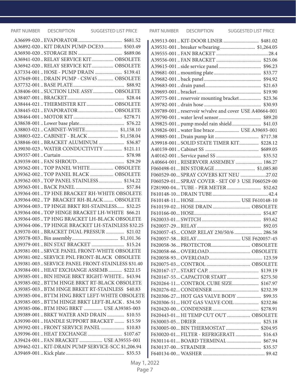| A36892-020 KIT DRAIN PUMP-DCE33 \$503.49         |  |
|--------------------------------------------------|--|
|                                                  |  |
| A36941-020 RELAY SERVICE KIT OBSOLETE            |  |
| A36942-020 RELAY SERVICE KIT OBSOLETE            |  |
| A37334-001  HOSE - PUMP DRAIN  \$139.41          |  |
| A37649-001  DRAIN PUMP - CSW45  OBSOLETE         |  |
|                                                  |  |
| A38406-001 SUCTION LINE ASSY  OBSOLETE           |  |
|                                                  |  |
| A38444-021  THERMISTER KIT  OBSOLETE             |  |
| A38445-021EVAPORATOR OBSOLETE                    |  |
|                                                  |  |
|                                                  |  |
|                                                  |  |
| A38803-022 CABINET - BLACK \$1,158.04            |  |
| A38846-001 BRACKET ALUMINUM  \$36.87             |  |
| A39030-023 WATER CONDUCTIVITY  \$121.11          |  |
|                                                  |  |
|                                                  |  |
| A39362-001. TOP PANEL WHITE OBSOLETE             |  |
| A39362-002TOP PANEL BLACK  OBSOLETE              |  |
| A39362-003TOP PANEL STAINLESS \$134.22           |  |
|                                                  |  |
| A39364-001. TP HNE BRACKET RH-WHITE OBSOLETE     |  |
| A39364-002TP BRACKET RH-BLACK  OBSOLETE          |  |
| A39364-003TP HNGE BRKT RH-STAINLESS \$32.25      |  |
| A39364-004. TOP HINGE BRACKET LH-WHITE \$66.21   |  |
| A39364-005TP HNG BRACKET LH-BLACK OBSOLETE       |  |
| A39364-006 TP HINGE BRACKET LH-STAINLESS \$32.25 |  |
| A39370-001 BRACKET DUAL PRESSUR  \$21.02         |  |
|                                                  |  |
|                                                  |  |
| A39379-001  BIN STAT BRACKET  \$15.24            |  |
| A39381-001 SRVCE PANEL FRONT-WHITE OBSOLETE      |  |
| A39381-002 SERVICE PNL FRONT-BLACK OBSOLETE      |  |
| A39381-003 SERVICE PANEL FRONT-STAINLESS \$31.40 |  |
| A39384-001HEAT EXCHANGE ASSEMB \$222.15          |  |
| A39385-001BIN HINGE BRKT RIGHT-WHITE \$43.94     |  |
| A39385-002 BTTM HNGE BRKT RT-BLACK OBSOLETE      |  |
| A39385-003 BTM HNGE BRKET RT-STAINLESS \$40.83   |  |
| A39385-004 BTTM HNG BRKT LEFT-WHITE OBSOLETE     |  |
| A39385-005 BTTM HINGE BRKT LEFT-BLACK. \$34.50   |  |
| A39385-006 BTM HNG BRKT  USE A39385-003          |  |
| A39389-001 BRKT WATER AND DRAIN  \$10.55         |  |
| A39390-001 HANDLE SUPPORT BRACKET  \$15.59       |  |
| A39392-001 FRONT SERVICE PANEL  \$10.83          |  |
|                                                  |  |
| A39424-001. FAN BRACKET  USE A39555-001          |  |
| A39462-021 KIT-DRAIN PUMP SERVICE-SCC \$1,206.94 |  |
|                                                  |  |

| A39531-001  breaker w/bearing \$1,264.05              |  |
|-------------------------------------------------------|--|
|                                                       |  |
|                                                       |  |
|                                                       |  |
|                                                       |  |
|                                                       |  |
|                                                       |  |
|                                                       |  |
| A39775-001  reservoir mounting bracket \$23.36        |  |
|                                                       |  |
| A39789-001 reservoir w/valve and cover USE A40664-001 |  |
|                                                       |  |
| A39825-001  pump model rain shield  \$41.03           |  |
| A39826-001  water line brace  USE A39693-001          |  |
|                                                       |  |
| A39918-001  SOLID STATE TIMER KIT \$228.12            |  |
|                                                       |  |
|                                                       |  |
| A40664-001  RESERVOIR ASSEMBLY  186.27                |  |
|                                                       |  |
| F060529-00 SPRAY COVERS KIT NEU 27.02                 |  |
|                                                       |  |
| F060529-01 SPRAY COVER - SET OF 3 USE F060529-00      |  |
| F281900-04 TUBE - PER METER  \$52.62                  |  |
|                                                       |  |
|                                                       |  |
| F610159-02 HOSE DRAIN OBSOLETE                        |  |
|                                                       |  |
|                                                       |  |
|                                                       |  |
| F620057-45 COMP. RELAY 230/50/6 286.58                |  |
|                                                       |  |
|                                                       |  |
|                                                       |  |
|                                                       |  |
|                                                       |  |
|                                                       |  |
|                                                       |  |
| F620264-11 CONTROL CUBE SIZE \$167.97                 |  |
|                                                       |  |
|                                                       |  |
| F620306-51 HOT GAS VALVE COIL  \$232.86               |  |
|                                                       |  |
| F620443-01 HI TEMP CUT OUT  OBSOLETE                  |  |
|                                                       |  |
|                                                       |  |
| F630020-01 FILTER - REFRIGERATI  \$16.43              |  |
|                                                       |  |
|                                                       |  |
|                                                       |  |